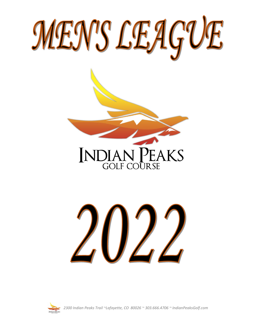







*2300 Indian Peaks Trail ~Lafayette, CO 80026 ~ 303.666.4706 ~ IndianPeaksGolf.com*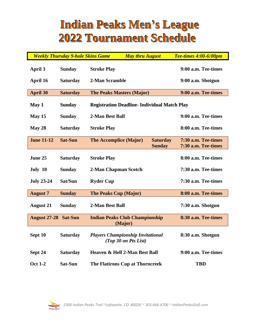# **Indian Peaks Men's League 2022 Tournament Schedule**

|                     | <b>Weekly Thursday 9-hole Skins Game</b> |                                                                  | <b>May thru August</b> |                   | <b>Tee-times 4:00-6:00pm</b> |
|---------------------|------------------------------------------|------------------------------------------------------------------|------------------------|-------------------|------------------------------|
| April 3             | <b>Sunday</b>                            | <b>Stroke Play</b>                                               |                        |                   | 9:00 a.m. Tee-times          |
| <b>April 16</b>     | <b>Saturday</b>                          | 2-Man Scramble                                                   |                        |                   | 9:00 a.m. Shotgun            |
| <b>April 30</b>     | <b>Saturday</b>                          | <b>The Peaks Masters (Major)</b>                                 |                        |                   | 9:00 a.m. Tee-times          |
| May 1               | <b>Sunday</b>                            | <b>Registration Deadline- Individual Match Play</b>              |                        |                   |                              |
| May 15              | <b>Sunday</b>                            | 2-Man Best Ball                                                  |                        |                   | 9:00 a.m. Tee-times          |
| May 28              | <b>Saturday</b>                          | <b>Stroke Play</b>                                               |                        |                   | 8:00 a.m. Tee-times          |
| <b>June 11-12</b>   | <b>Sat-Sun</b>                           | <b>The Accomplice (Major)</b>                                    |                        | <b>Saturday</b>   | 7:30 a.m. Tee-times          |
|                     |                                          |                                                                  |                        | <b>Sunday</b>     | 7:30 a.m. Tee-times          |
| June 25             | <b>Saturday</b>                          | <b>Stroke Play</b>                                               |                        |                   | 8:00 a.m. Tee-times          |
| July 10             | <b>Sunday</b>                            | 2-Man Chapman Scotch                                             |                        |                   | 7:30 a.m. Tee-times          |
| <b>July 23-24</b>   | Sat/Sun                                  | <b>Ryder Cup</b>                                                 |                        |                   | 7:30 a.m. Tee-times          |
| <b>August 7</b>     | <b>Sunday</b>                            | <b>The Peaks Cup (Major)</b>                                     |                        |                   | 8:00 a.m. Tee-times          |
| <b>August 21</b>    | <b>Sunday</b>                            | 2-Man Best Ball                                                  |                        |                   | 7:30 a.m. Shotgun            |
| <b>August 27-28</b> | <b>Sat-Sun</b>                           | <b>Indian Peaks Club Championship</b>                            | (Major)                |                   | 8:30 a.m. Tee-times          |
| Sept 10             | <b>Saturday</b>                          | <b>Players Championship Invitational</b><br>(Top 30 on Pts List) |                        | 8:30 a.m. Shotgun |                              |
| Sept 24             | <b>Saturday</b>                          | Heaven & Hell 2-Man Best Ball                                    |                        |                   | 9:00 a.m. Tee-times          |
| <b>Oct 1-2</b>      | Sat-Sun                                  | <b>The Flatirons Cup at Thorncreek</b>                           |                        |                   | <b>TBD</b>                   |

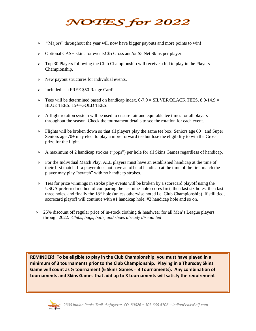# NOTES for 2022

- ➢ "Majors" throughout the year will now have bigger payouts and more points to win!
- ➢ Optional CASH skins for events! \$5 Gross and/or \$5 Net Skins per player.
- $\geq$  Top 30 Players following the Club Championship will receive a bid to play in the Players Championship.
- $\triangleright$  New payout structures for individual events.
- ➢ Included is a FREE \$50 Range Card!
- $\geq$  Tees will be determined based on handicap index. 0-7.9 = SILVER/BLACK TEES. 8.0-14.9 = BLUE TEES. 15+=GOLD TEES.
- $\triangleright$  A flight rotation system will be used to ensure fair and equitable tee times for all players throughout the season. Check the tournament details to see the rotation for each event.
- $\triangleright$  Flights will be broken down so that all players play the same tee box. Seniors age 60+ and Super Seniors age 70+ may elect to play a more forward tee but lose the eligibility to win the Gross prize for the flight.
- $\triangleright$  A maximum of 2 handicap strokes ("pops") per hole for all Skins Games regardless of handicap.
- $\triangleright$  For the Individual Match Play, ALL players must have an established handicap at the time of their first match. If a player does not have an official handicap at the time of the first match the player may play "scratch" with no handicap strokes.
- $\geq$  Ties for prize winnings in stroke play events will be broken by a scorecard playoff using the USGA preferred method of comparing the last nine-hole scores first, then last six holes, then last three holes, and finally the  $18<sup>th</sup>$  hole (unless otherwise noted i.e. Club Championship). If still tied, scorecard playoff will continue with #1 handicap hole, #2 handicap hole and so on.
- $\geq$  25% discount off regular price of in-stock clothing & headwear for all Men's League players through 2022. *Clubs, bags, balls, and shoes already discounted*

**REMINDER! To be eligible to play in the Club Championship, you must have played in a minimum of 3 tournaments prior to the Club Championship. Playing in a Thursday Skins Game will count as ½ tournament (6 Skins Games = 3 Tournaments). Any combination of tournaments and Skins Games that add up to 3 tournaments will satisfy the requirement**

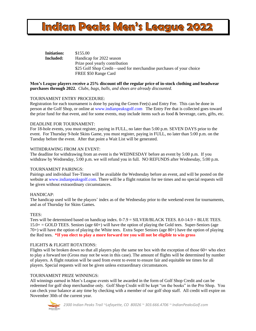# **Indian Peaks Men's League 2022**

**Initiation:** \$155.00 **Included:** Handicap for 2022 season Prize pool yearly contribution \$25 Golf Shop Credit—used for merchandise purchases of your choice FREE \$50 Range Card

**Men's League players receive a 25% discount off the regular price of in-stock clothing and headwear purchases through 2022.** *Clubs, bags, balls, and shoes are already discounted.*

### TOURNAMENT ENTRY PROCEDURE:

Registration for each tournament is done by paying the Green Fee(s) and Entry Fee. This can be done in person at the Golf Shop, or online at [www.indianpeaksgolf.com](http://www.indianpeaksgolf.com/) The Entry Fee that is collected goes toward the prize fund for that event, and for some events, may include items such as food  $\&$  beverage, carts, gifts, etc.

#### DEADLINE FOR TOURNAMENT:

For 18-hole events, you must register, paying in FULL, no later than 5:00 p.m. SEVEN DAYS prior to the event. For Thursday 9-hole Skins Game, you must register, paying in FULL, no later than 5:00 p.m. on the Tuesday before the event. After that point a Wait List will be generated.

### WITHDRAWING FROM AN EVENT:

The deadline for withdrawing from an event is the WEDNESDAY before an event by 5:00 p.m. If you withdraw by Wednesday, 5:00 p.m. we will refund you in full. NO REFUNDS after Wednesday, 5:00 p.m.

#### TOURNAMENT PAIRINGS:

Pairings and individual Tee-Times will be available the Wednesday before an event, and will be posted on the website at [www.indianpeaksgolf.com.](http://www.indianpeaksgolf.com/) There will be a flight rotation for tee times and no special requests will be given without extraordinary circumstances.

#### HANDICAP:

The handicap used will be the players' index as of the Wednesday prior to the weekend event for tournaments, and as of Thursday for Skins Games.

### TEES:

Tees will be determined based on handicap index. 0-7.9 = SILVER/BLACK TEES. 8.0-14.9 = BLUE TEES.  $15.0+=$  GOLD TEES. Seniors (age 60+) will have the option of playing the Gold tees. Super-Seniors (age 70+) will have the option of playing the White tees. Extra Super Seniors (age 80+) have the option of playing the Red tees. **\*If you elect to play a more forward tee you will not be eligible to win gross** 

#### FLIGHTS & FLIGHT ROTATIONS:

Flights will be broken down so that all players play the same tee box with the exception of those 60+ who elect to play a forward tee (Gross may not be won in this case). The amount of flights will be determined by number of players. A flight rotation will be used from event to event to ensure fair and equitable tee times for all players. Special requests will not be given unless extraordinary circumstances.

#### TOURNAMENT PRIZE WINNINGS:

All winnings earned in Men's League events will be awarded in the form of Golf Shop Credit and can be redeemed for golf shop merchandise only. Golf Shop Credit will be kept "on the books" in the Pro Shop. You can check your balance at any time by checking with a member of our golf shop staff. All credit will expire on November 30th of the current year.

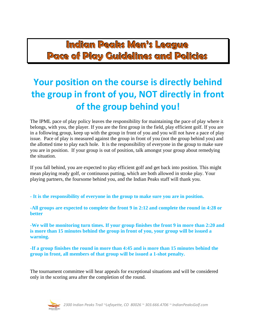**Indian Peaks Men's League Pace of Play Guidelines and Policies**

# **Your position on the course is directly behind the group in front of you, NOT directly in front of the group behind you!**

The IPML pace of play policy leaves the responsibility for maintaining the pace of play where it belongs, with you, the player. If you are the first group in the field, play efficient golf. If you are in a following group, keep up with the group in front of you and you will not have a pace of play issue. Pace of play is measured against the group in front of you (not the group behind you) and the allotted time to play each hole. It is the responsibility of everyone in the group to make sure you are in position. If your group is out of position, talk amongst your group about remedying the situation.

If you fall behind, you are expected to play efficient golf and get back into position. This might mean playing ready golf, or continuous putting, which are both allowed in stroke play. Your playing partners, the foursome behind you, and the Indian Peaks staff will thank you.

**- It is the responsibility of everyone in the group to make sure you are in position.**

**-All groups are expected to complete the front 9 in 2:12 and complete the round in 4:28 or better**

**-We will be monitoring turn times. If your group finishes the front 9 in more than 2:20 and is more than 15 minutes behind the group in front of you, your group will be issued a warning.** 

**-If a group finishes the round in more than 4:45 and is more than 15 minutes behind the group in front, all members of that group will be issued a 1-shot penalty.**

The tournament committee will hear appeals for exceptional situations and will be considered only in the scoring area after the completion of the round.

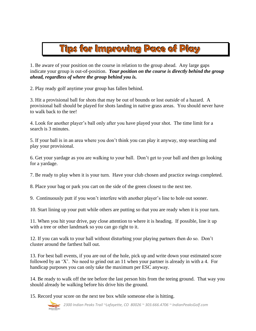# **Tips for Improving Pace of Play**

1. Be aware of your position on the course in relation to the group ahead. Any large gaps indicate your group is out-of-position. *Your position on the course is directly behind the group ahead, regardless of where the group behind you is.*

2. Play ready golf anytime your group has fallen behind.

3. Hit a provisional ball for shots that may be out of bounds or lost *outside* of a hazard. A provisional ball should be played for shots landing in native grass areas. You should never have to walk back to the tee!

4. Look for another player's ball only after you have played your shot. The time limit for a search is 3 minutes.

5. If your ball is in an area where you don't think you can play it anyway, stop searching and play your provisional.

6. Get your yardage as you are walking to your ball. Don't get to your ball and then go looking for a yardage.

7. Be ready to play when it is your turn. Have your club chosen and practice swings completed.

8. Place your bag or park you cart on the side of the green closest to the next tee.

9. Continuously putt if you won't interfere with another player's line to hole out sooner.

10. Start lining up your putt while others are putting so that you are ready when it is your turn.

11. When you hit your drive, pay close attention to where it is heading. If possible, line it up with a tree or other landmark so you can go right to it.

12. If you can walk to your ball without disturbing your playing partners then do so. Don't cluster around the farthest ball out.

13. For best ball events, if you are out of the hole, pick up and write down your estimated score followed by an 'X'. No need to grind out an 11 when your partner is already in with a 4. For handicap purposes you can only take the maximum per ESC anyway.

14. Be ready to walk off the tee before the last person hits from the teeing ground. That way you should already be walking before his drive hits the ground.

15. Record your score on the next tee box while someone else is hitting.

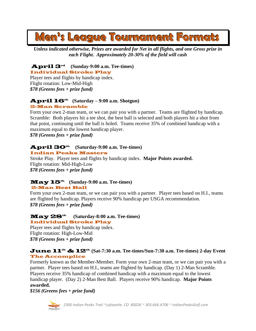# **Men's League Tournament Formats**

*Unless indicated otherwise, Prizes are awarded for Net in all flights, and one Gross prize in each Flight. Approximately 20-30% of the field will cash*

April 3rd  **(Sunday-9:00 a.m. Tee-times)**  Individual Stroke Play

Player tees and flights by handicap index. Flight rotation: Low-Mid-High *\$78 (Greens fees + prize fund)*

# April 16th **(Saturday – 9:00 a.m. Shotgun)**  2-Man Scramble

Form your own 2-man team, or we can pair you with a partner. Teams are flighted by handicap. Scramble: Both players hit a tee shot, the best ball is selected and both players hit a shot from that point, continuing until the ball is holed. Teams receive 35% of combined handicap with a maximum equal to the lowest handicap player.

*\$78 (Greens fees + prize fund)*

# April 30th **(Saturday-9:00 a.m. Tee-times)**

Indian Peaks Masters

Stroke Play. Player tees and flights by handicap index. **Major Points awarded.** Flight rotation: Mid-High-Low *\$78 (Greens fees + prize fund)*

### May 15th **(Sunday-9:00 a.m. Tee-times)**  2-Man Best Ball

Form your own 2-man team, or we can pair you with a partner. Player tees based on H.I., teams are flighted by handicap. Players receive 90% handicap per USGA recommendation. *\$78 (Greens fees + prize fund)*

# May 28th **(Saturday-8:00 a.m. Tee-times)**  Individual Stroke Play

Player tees and flights by handicap index. Flight rotation: High-Low-Mid *\$78 (Greens fees + prize fund)*

# June 11th & 12th **(Sat-7:30 a.m. Tee-times/Sun-7:30 a.m. Tee-times) 2-day Event**  The Accomplice

Formerly known as the Member-Member. Form your own 2-man team, or we can pair you with a partner. Player tees based on H.I., teams are flighted by handicap. (Day 1) 2-Man Scramble. Players receive 35% handicap of combined handicap with a maximum equal to the lowest handicap player. (Day 2) 2-Man Best Ball. Players receive 90% handicap. **Major Points awarded.**

*\$156 (Greens fees + prize fund)*



*2300 Indian Peaks Trail ~Lafayette, CO 80026 ~ 303.666.4706 ~ IndianPeaksGolf.com*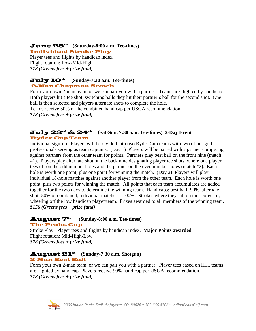# June 25th **(Saturday-8:00 a.m. Tee-times)**

Individual Stroke Play

Player tees and flights by handicap index. Flight rotation: Low-Mid-High *\$78 (Greens fees + prize fund)*

## July 10th **(Sunday-7:30 a.m. Tee-times)**  2-Man Chapman Scotch

Form your own 2-man team, or we can pair you with a partner. Teams are flighted by handicap. Both players hit a tee shot, switching balls they hit their partner's ball for the second shot. One ball is then selected and players alternate shots to complete the hole.

Teams receive 50% of the combined handicap per USGA recommendation.

*\$78 (Greens fees + prize fund)*

# July 23rd & 24th **(Sat-Sun, 7:30 a.m. Tee-times) 2-Day Event** Ryder Cup Team

Individual sign-up. Players will be divided into two Ryder Cup teams with two of our golf professionals serving as team captains. (Day 1) Players will be paired with a partner competing against partners from the other team for points. Partners play best ball on the front nine (match #1). Players play alternate shot on the back nine designating player tee shots, where one player tees off on the odd number holes and the partner on the even number holes (match #2). Each hole is worth one point, plus one point for winning the match. (Day 2) Players will play individual 18-hole matches against another player from the other team. Each hole is worth one point, plus two points for winning the match. All points that each team accumulates are added together for the two days to determine the winning team. Handicaps: best ball=90%, alternate shot=50% of combined, individual matches = 100%. Strokes where they fall on the scorecard, wheeling off the low handicap player/team. Prizes awarded to all members of the winning team. *\$156 (Greens fees + prize fund)*

## August 7th **(Sunday-8:00 a.m. Tee-times)** The Peaks Cup

Stroke Play. Player tees and flights by handicap index. **Major Points awarded** Flight rotation: Mid-High-Low *\$78 (Greens fees + prize fund)*

## August 21st  **(Sunday-7:30 a.m. Shotgun)**  2-Man Best Ball

Form your own 2-man team, or we can pair you with a partner. Player tees based on H.I., teams are flighted by handicap. Players receive 90% handicap per USGA recommendation. *\$78 (Greens fees + prize fund)*

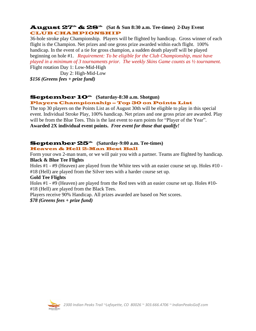# August 27th & 28th **(Sat & Sun 8:30 a.m. Tee-times) 2-Day Event** CLUB CHAMPIONSHIP

36-hole stroke play Championship. Players will be flighted by handicap. Gross winner of each flight is the Champion. Net prizes and one gross prize awarded within each flight. 100% handicap. In the event of a tie for gross champion, a sudden death playoff will be played beginning on hole #1. *Requirement: To be eligible for the Club Championship, must have played in a minimum of 3 tournaments prior. The weekly Skins Game counts as ½ tournament.* Flight rotation Day 1: Low-Mid-High

Day 2: High-Mid-Low *\$156 (Greens fees + prize fund)*

# September 10<sup>th</sup> (Saturday-8:30 a.m. Shotgun)

# Players Championship – Top 30 on Points List

The top 30 players on the Points List as of August 30th will be eligible to play in this special event. Individual Stroke Play, 100% handicap. Net prizes and one gross prize are awarded. Play will be from the Blue Tees. This is the last event to earn points for "Player of the Year". **Awarded 2X individual event points.** *Free event for those that qualify!*

# September 25th **(Saturday-9:00 a.m. Tee-times)** Heaven & Hell 2-Man Best Ball

Form your own 2-man team, or we will pair you with a partner. Teams are flighted by handicap. **Black & Blue Tee Flights**

Holes #1 - #9 (Heaven) are played from the White tees with an easier course set up. Holes #10 - #18 (Hell) are played from the Silver tees with a harder course set up.

# **Gold Tee Flights**

Holes #1 - #9 (Heaven) are played from the Red tees with an easier course set up. Holes #10- #18 (Hell) are played from the Black Tees.

Players receive 90% Handicap. All prizes awarded are based on Net scores.

*\$78 (Greens fees + prize fund)*

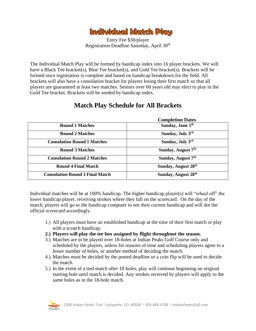

Entry Fee \$30/player Registration Deadline Saturday, April 30th

The Individual Match Play will be formed by handicap index into 16 player brackets. We will have a Black Tee bracket(s), Blue Tee bracket(s), and Gold Tee bracket(s). Brackets will be formed once registration is complete and based on handicap breakdown for the field. All brackets will also have a consolation bracket for players losing their first match so that all players are guaranteed at least two matches. Seniors over 60 years old may elect to play in the Gold Tee bracket. Brackets will be seeded by handicap index.

|                                        | Completion Dates                |
|----------------------------------------|---------------------------------|
| <b>Round 1 Matches</b>                 | Sunday, June 5th                |
| <b>Round 2 Matches</b>                 | Sunday, July 3rd                |
| <b>Consolation Round 1 Matches</b>     | Sunday, July 3rd                |
| <b>Round 3 Matches</b>                 | Sunday, August 7 <sup>th</sup>  |
| <b>Consolation Round 2 Matches</b>     | Sunday, August 7 <sup>th</sup>  |
| <b>Round 4 Final Match</b>             | Sunday, August 28 <sup>th</sup> |
| <b>Consolation Round 3 Final Match</b> | Sunday, August 28 <sup>th</sup> |

# **Match Play Schedule for All Brackets**

 **Completion Dates**

Individual matches will be at 100% handicap. The higher handicap player(s) will "wheel off" the lower handicap player, receiving strokes where they fall on the scorecard. On the day of the match, players will go to the handicap computer to see their current handicap and will dot the official scorecard accordingly.

- 1.) All players must have an established handicap at the time of their first match or play with a scratch handicap.
- **2.) Players will play the tee box assigned by flight throughout the season.**
- 3.) Matches are to be played over 18-holes at Indian Peaks Golf Course only and scheduled by the players, unless for reasons of time and scheduling players agree to a lesser number of holes, or another method of deciding the match.
- 4.) Matches must be decided by the posted deadline or a coin flip will be used to decide the match.
- 5.) In the event of a tied match after 18 holes, play will continue beginning on original starting hole until match is decided. Any strokes received by players will apply to the same holes as in the 18-hole match.

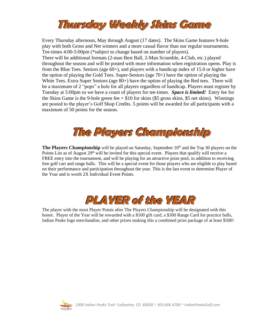

Every Thursday afternoon, May through August (17 dates). The Skins Game features 9-hole play with both Gross and Net winners and a more casual flavor than our regular tournaments. Tee-times 4:00-5:00pm (\*subject to change based on number of players). There will be additional formats (2-man Best Ball, 2-Man Scramble, 4-Club, etc.) played throughout the season and will be posted with more information when registration opens. Play is from the Blue Tees. Seniors (age 60+), and players with a handicap index of 15.0 or higher have the option of playing the Gold Tees. Super-Seniors (age 70+) have the option of playing the White Tees. Extra Super Seniors (age 80+) have the option of playing the Red tees. There will be a maximum of 2 "pops" a hole for all players regardless of handicap. Players must register by Tuesday at 5:00pm so we have a count of players for tee-times. *Space is limited!* Entry fee for the Skins Game is the 9-hole green fee  $+$  \$10 for skins (\$5 gross skins, \$5 net skins). Winnings are posted to the player's Golf Shop Credits. 5 points will be awarded for all participants with a maximum of 50 points for the season.



The Players Championship will be played on Saturday, September 10<sup>th</sup> and the Top 30 players on the Points List as of August  $29<sup>th</sup>$  will be invited for this special event. Players that qualify will receive a FREE entry into the tournament, and will be playing for an attractive prize pool, in addition to receiving free golf cart and range balls. This will be a special event for those players who are eligible to play based on their performance and participation throughout the year. This is the last event to determine Player of the Year and is worth 2X Individual Event Points.



The player with the most Player Points after The Players Championship will be designated with this honor. Player of the Year will be rewarded with a \$100 gift card, a \$300 Range Card for practice balls, Indian Peaks logo merchandise, and other prizes making this a combined prize package of at least \$500!

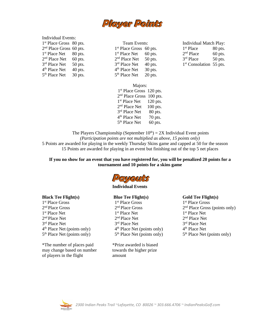

### Individual Events:

1<sup>st</sup> Place Gross 80 pts. 2<sup>nd</sup> Place Gross 60 pts. 1<sup>st</sup> Place Net 80 pts. 2<sup>nd</sup> Place Net 60 pts. 3<sup>rd</sup> Place Net 50 pts. 4<sup>th</sup> Place Net 40 pts. 5<sup>th</sup> Place Net 30 pts.

 Team Events: 1<sup>st</sup> Place Gross 60 pts. 1<sup>st</sup> Place Net 60 pts. 2<sup>nd</sup> Place Net 50 pts. 3<sup>rd</sup> Place Net 40 pts. 4 th Place Net 30 pts. 5<sup>th</sup> Place Net 20 pts. Individual Match Play: 1<sup>st</sup> Place 80 pts.  $2<sup>nd</sup>$  Place 60 pts. 3<sup>rd</sup> Place 50 pts. 1<sup>st</sup> Consolation 55 pts.

Majors: 1<sup>st</sup> Place Gross 120 pts. 2<sup>nd</sup> Place Gross 100 pts. 1<sup>st</sup> Place Net 120 pts.  $2<sup>nd</sup>$  Place Net 100 pts. 3<sup>rd</sup> Place Net 80 pts. 4<sup>th</sup> Place Net 70 pts. 5<sup>th</sup> Place Net 60 pts.

The Players Championship (September  $10<sup>th</sup>$ ) = 2X Individual Event points *(Participation points are not multiplied as above, 15 points only)* 5 Points are awarded for playing in the weekly Thursday Skins game and capped at 50 for the season 15 Points are awarded for playing in an event but finishing out of the top 5 net places

**If you no show for an event that you have registered for, you will be penalized 20 points for a tournament and 10 points for a skins game**



#### **Individual Events**

#### **Black Tee Flight(s)**

 st Place Gross nd Place Gross st Place Net nd Place Net rd Place Net th Place Net (points only) 5<sup>th</sup> Place Net (points only)

\*The number of places paid may change based on number of players in the flight

### **Blue Tee Flight(s)**

 st Place Gross 2<sup>nd</sup> Place Gross st Place Net nd Place Net rd Place Net th Place Net (points only) 5<sup>th</sup> Place Net (points only)

\*Prize awarded is biased towards the higher prize amount

#### **Gold Tee Flight(s)**

 st Place Gross 2<sup>nd</sup> Place Gross (points only) st Place Net nd Place Net rd Place Net th Place Net 5<sup>th</sup> Place Net (points only)

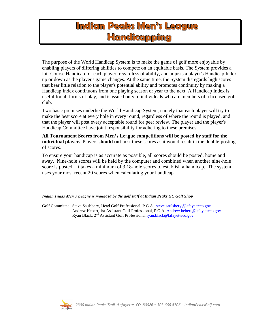# **Indian Peaks Men's League Handicapping**

The purpose of the [World Handicap System](http://www.usga.org/playing/handicaps/manual/sections/section_02.html#USGAHandicapSystem) is to make the game of golf more enjoyable by enabling players of differing abilities to compete on an equitable basis. The System provides a fair [Course Handicap](http://www.usga.org/playing/handicaps/manual/sections/section_02.html#CourseHandicap) for each player, regardless of ability, and adjusts a player's [Handicap Index](http://www.usga.org/playing/handicaps/manual/sections/section_02.html#HandicapIndex) up or down as the player's game changes. At the same time, the System disregards high scores that bear little relation to the player's potential ability and promotes continuity by making a [Handicap Index](http://www.usga.org/playing/handicaps/manual/sections/section_02.html#HandicapIndex) continuous from one playing season or year to the next. A [Handicap Index](http://www.usga.org/playing/handicaps/manual/sections/section_02.html#HandicapIndex) is useful for all forms of play, and is issued only to individuals who are members of a licensed [golf](http://www.usga.org/playing/handicaps/manual/sections/section_02.html#golfclub)  [club.](http://www.usga.org/playing/handicaps/manual/sections/section_02.html#golfclub)

Two basic premises underlie the [World Handicap System,](http://www.usga.org/playing/handicaps/manual/sections/section_02.html#USGAHandicapSystem) namely that each player will try to make the best score at every hole in every round, regardless of where the round is played, and that the player will post every acceptable round for [peer review.](http://www.usga.org/playing/handicaps/manual/sections/section_02.html#peerReview) The player and the player's [Handicap Committee](http://www.usga.org/playing/handicaps/manual/sections/section_02.html#HandicapCommittee) have joint responsibility for adhering to these premises.

**All Tournament Scores from Men's League competitions will be posted by staff for the individual player.** Players **should not** post these scores as it would result in the double-posting of scores.

To ensure your handicap is as accurate as possible, all scores should be posted, home and away. Nine-hole scores will be held by the computer and combined when another nine-hole score is posted. It takes a minimum of 3 18-hole scores to establish a handicap. The system uses your most recent 20 scores when calculating your handicap.

### *Indian Peaks Men's League is managed by the golf staff at Indian Peaks GC Golf Shop*

Golf Committee: Steve Saulsbery, Head Golf Professional, P.G.A. [steve.saulsbery@lafayetteco.gov](mailto:steve.saulsbery@lafayetteco.gov) Andrew Hebert, 1st Assistant Golf Professional, P.G.A. [Andrew.hebert@lafayetteco.gov](mailto:Andrew.hebert@lafayetteco.gov) Ryan Black, 2<sup>nd</sup> Assistant Golf Professional [ryan.black@lafayetteco.gov](mailto:ryan.black@lafayetteco.govcom)